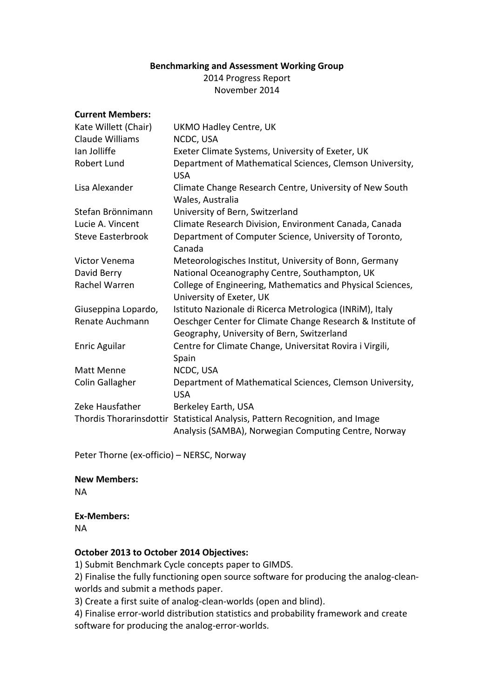### **Benchmarking and Assessment Working Group**

2014 Progress Report November 2014

#### **Current Members:**

| Kate Willett (Chair)     | <b>UKMO Hadley Centre, UK</b>                                                                                                        |
|--------------------------|--------------------------------------------------------------------------------------------------------------------------------------|
| Claude Williams          | NCDC, USA                                                                                                                            |
| lan Jolliffe             | Exeter Climate Systems, University of Exeter, UK                                                                                     |
| Robert Lund              | Department of Mathematical Sciences, Clemson University,<br><b>USA</b>                                                               |
| Lisa Alexander           | Climate Change Research Centre, University of New South<br>Wales, Australia                                                          |
| Stefan Brönnimann        | University of Bern, Switzerland                                                                                                      |
| Lucie A. Vincent         | Climate Research Division, Environment Canada, Canada                                                                                |
| <b>Steve Easterbrook</b> | Department of Computer Science, University of Toronto,<br>Canada                                                                     |
| Victor Venema            | Meteorologisches Institut, University of Bonn, Germany                                                                               |
| David Berry              | National Oceanography Centre, Southampton, UK                                                                                        |
| Rachel Warren            | College of Engineering, Mathematics and Physical Sciences,<br>University of Exeter, UK                                               |
| Giuseppina Lopardo,      | Istituto Nazionale di Ricerca Metrologica (INRIM), Italy                                                                             |
| Renate Auchmann          | Oeschger Center for Climate Change Research & Institute of<br>Geography, University of Bern, Switzerland                             |
| <b>Enric Aguilar</b>     | Centre for Climate Change, Universitat Rovira i Virgili,<br>Spain                                                                    |
| Matt Menne               | NCDC, USA                                                                                                                            |
| Colin Gallagher          | Department of Mathematical Sciences, Clemson University,<br><b>USA</b>                                                               |
| Zeke Hausfather          | Berkeley Earth, USA                                                                                                                  |
|                          | Thordis Thorarinsdottir Statistical Analysis, Pattern Recognition, and Image<br>Analysis (SAMBA), Norwegian Computing Centre, Norway |

Peter Thorne (ex-officio) – NERSC, Norway

### **New Members:**

NA

# **Ex-Members:**

NA

### **October 2013 to October 2014 Objectives:**

1) Submit Benchmark Cycle concepts paper to GIMDS.

2) Finalise the fully functioning open source software for producing the analog-cleanworlds and submit a methods paper.

3) Create a first suite of analog-clean-worlds (open and blind).

4) Finalise error-world distribution statistics and probability framework and create software for producing the analog-error-worlds.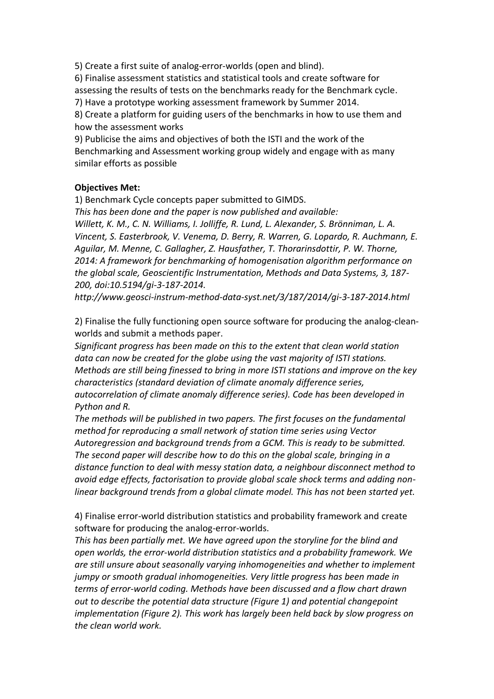5) Create a first suite of analog-error-worlds (open and blind).

6) Finalise assessment statistics and statistical tools and create software for assessing the results of tests on the benchmarks ready for the Benchmark cycle.

7) Have a prototype working assessment framework by Summer 2014.

8) Create a platform for guiding users of the benchmarks in how to use them and how the assessment works

9) Publicise the aims and objectives of both the ISTI and the work of the Benchmarking and Assessment working group widely and engage with as many similar efforts as possible

## **Objectives Met:**

1) Benchmark Cycle concepts paper submitted to GIMDS.

*This has been done and the paper is now published and available: Willett, K. M., C. N. Williams, I. Jolliffe, R. Lund, L. Alexander, S. Brönniman, L. A. Vincent, S. Easterbrook, V. Venema, D. Berry, R. Warren, G. Lopardo, R. Auchmann, E. Aguilar, M. Menne, C. Gallagher, Z. Hausfather, T. Thorarinsdottir, P. W. Thorne, 2014: A framework for benchmarking of homogenisation algorithm performance on the global scale, Geoscientific Instrumentation, Methods and Data Systems, 3, 187- 200, doi:10.5194/gi-3-187-2014.*

*http://www.geosci-instrum-method-data-syst.net/3/187/2014/gi-3-187-2014.html*

2) Finalise the fully functioning open source software for producing the analog-cleanworlds and submit a methods paper.

*Significant progress has been made on this to the extent that clean world station data can now be created for the globe using the vast majority of ISTI stations. Methods are still being finessed to bring in more ISTI stations and improve on the key characteristics (standard deviation of climate anomaly difference series, autocorrelation of climate anomaly difference series). Code has been developed in Python and R.* 

*The methods will be published in two papers. The first focuses on the fundamental method for reproducing a small network of station time series using Vector Autoregression and background trends from a GCM. This is ready to be submitted. The second paper will describe how to do this on the global scale, bringing in a distance function to deal with messy station data, a neighbour disconnect method to avoid edge effects, factorisation to provide global scale shock terms and adding nonlinear background trends from a global climate model. This has not been started yet.*

4) Finalise error-world distribution statistics and probability framework and create software for producing the analog-error-worlds.

*This has been partially met. We have agreed upon the storyline for the blind and open worlds, the error-world distribution statistics and a probability framework. We are still unsure about seasonally varying inhomogeneities and whether to implement jumpy or smooth gradual inhomogeneities. Very little progress has been made in terms of error-world coding. Methods have been discussed and a flow chart drawn out to describe the potential data structure (Figure 1) and potential changepoint implementation (Figure 2). This work has largely been held back by slow progress on the clean world work.*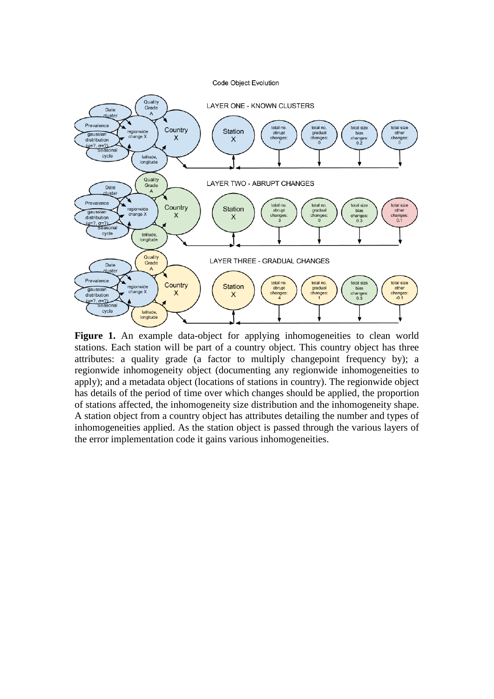Code Object Evolution



Figure 1. An example data-object for applying inhomogeneities to clean world stations. Each station will be part of a country object. This country object has three attributes: a quality grade (a factor to multiply changepoint frequency by); a regionwide inhomogeneity object (documenting any regionwide inhomogeneities to apply); and a metadata object (locations of stations in country). The regionwide object has details of the period of time over which changes should be applied, the proportion of stations affected, the inhomogeneity size distribution and the inhomogeneity shape. A station object from a country object has attributes detailing the number and types of inhomogeneities applied. As the station object is passed through the various layers of the error implementation code it gains various inhomogeneities.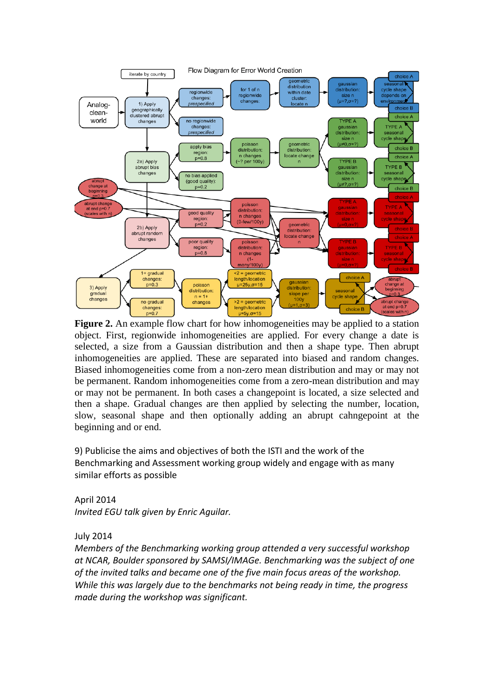

**Figure 2.** An example flow chart for how inhomogeneities may be applied to a station object. First, regionwide inhomogeneities are applied. For every change a date is selected, a size from a Gaussian distribution and then a shape type. Then abrupt inhomogeneities are applied. These are separated into biased and random changes. Biased inhomogeneities come from a non-zero mean distribution and may or may not be permanent. Random inhomogeneities come from a zero-mean distribution and may or may not be permanent. In both cases a changepoint is located, a size selected and then a shape. Gradual changes are then applied by selecting the number, location, slow, seasonal shape and then optionally adding an abrupt cahngepoint at the beginning and or end.

9) Publicise the aims and objectives of both the ISTI and the work of the Benchmarking and Assessment working group widely and engage with as many similar efforts as possible

April 2014 *Invited EGU talk given by Enric Aguilar.*

July 2014

*Members of the Benchmarking working group attended a very successful workshop at NCAR, Boulder sponsored by SAMSI/IMAGe. Benchmarking was the subject of one of the invited talks and became one of the five main focus areas of the workshop. While this was largely due to the benchmarks not being ready in time, the progress made during the workshop was significant.*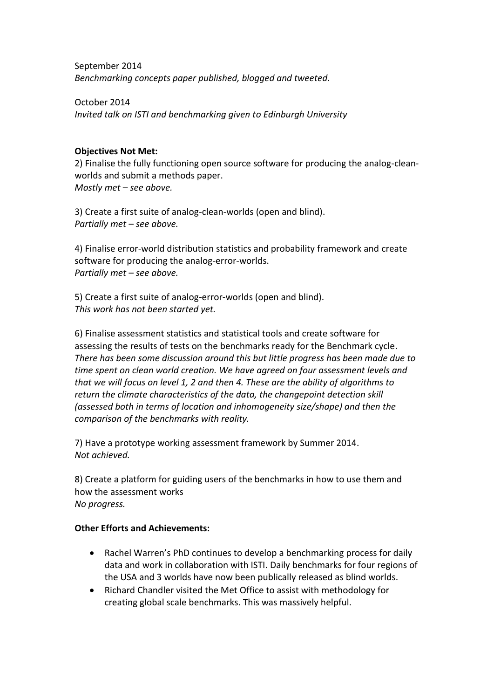September 2014 *Benchmarking concepts paper published, blogged and tweeted.*

October 2014 *Invited talk on ISTI and benchmarking given to Edinburgh University*

### **Objectives Not Met:**

2) Finalise the fully functioning open source software for producing the analog-cleanworlds and submit a methods paper. *Mostly met – see above.*

3) Create a first suite of analog-clean-worlds (open and blind). *Partially met – see above.*

4) Finalise error-world distribution statistics and probability framework and create software for producing the analog-error-worlds. *Partially met – see above.*

5) Create a first suite of analog-error-worlds (open and blind). *This work has not been started yet.*

6) Finalise assessment statistics and statistical tools and create software for assessing the results of tests on the benchmarks ready for the Benchmark cycle. *There has been some discussion around this but little progress has been made due to time spent on clean world creation. We have agreed on four assessment levels and that we will focus on level 1, 2 and then 4. These are the ability of algorithms to return the climate characteristics of the data, the changepoint detection skill (assessed both in terms of location and inhomogeneity size/shape) and then the comparison of the benchmarks with reality.*

7) Have a prototype working assessment framework by Summer 2014. *Not achieved.*

8) Create a platform for guiding users of the benchmarks in how to use them and how the assessment works *No progress.*

### **Other Efforts and Achievements:**

- Rachel Warren's PhD continues to develop a benchmarking process for daily data and work in collaboration with ISTI. Daily benchmarks for four regions of the USA and 3 worlds have now been publically released as blind worlds.
- Richard Chandler visited the Met Office to assist with methodology for creating global scale benchmarks. This was massively helpful.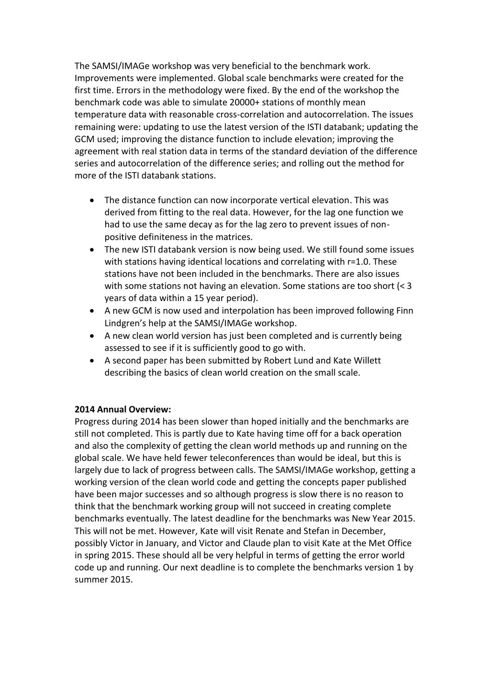The SAMSI/IMAGe workshop was very beneficial to the benchmark work. Improvements were implemented. Global scale benchmarks were created for the first time. Errors in the methodology were fixed. By the end of the workshop the benchmark code was able to simulate 20000+ stations of monthly mean temperature data with reasonable cross-correlation and autocorrelation. The issues remaining were: updating to use the latest version of the ISTI databank; updating the GCM used; improving the distance function to include elevation; improving the agreement with real station data in terms of the standard deviation of the difference series and autocorrelation of the difference series; and rolling out the method for more of the ISTI databank stations.

- The distance function can now incorporate vertical elevation. This was derived from fitting to the real data. However, for the lag one function we had to use the same decay as for the lag zero to prevent issues of nonpositive definiteness in the matrices.
- The new ISTI databank version is now being used. We still found some issues with stations having identical locations and correlating with r=1.0. These stations have not been included in the benchmarks. There are also issues with some stations not having an elevation. Some stations are too short (< 3 years of data within a 15 year period).
- A new GCM is now used and interpolation has been improved following Finn Lindgren's help at the SAMSI/IMAGe workshop.
- A new clean world version has just been completed and is currently being assessed to see if it is sufficiently good to go with.
- A second paper has been submitted by Robert Lund and Kate Willett describing the basics of clean world creation on the small scale.

## **2014 Annual Overview:**

Progress during 2014 has been slower than hoped initially and the benchmarks are still not completed. This is partly due to Kate having time off for a back operation and also the complexity of getting the clean world methods up and running on the global scale. We have held fewer teleconferences than would be ideal, but this is largely due to lack of progress between calls. The SAMSI/IMAGe workshop, getting a working version of the clean world code and getting the concepts paper published have been major successes and so although progress is slow there is no reason to think that the benchmark working group will not succeed in creating complete benchmarks eventually. The latest deadline for the benchmarks was New Year 2015. This will not be met. However, Kate will visit Renate and Stefan in December, possibly Victor in January, and Victor and Claude plan to visit Kate at the Met Office in spring 2015. These should all be very helpful in terms of getting the error world code up and running. Our next deadline is to complete the benchmarks version 1 by summer 2015.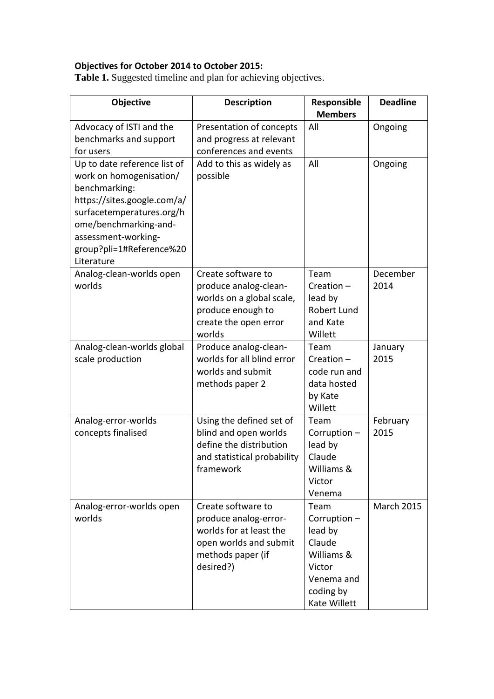## **Objectives for October 2014 to October 2015:**

**Table 1.** Suggested timeline and plan for achieving objectives.

| Objective                                                                                                                                                                                                                      | <b>Description</b>                                                                                                                 | Responsible<br><b>Members</b>                                                                               | <b>Deadline</b>   |
|--------------------------------------------------------------------------------------------------------------------------------------------------------------------------------------------------------------------------------|------------------------------------------------------------------------------------------------------------------------------------|-------------------------------------------------------------------------------------------------------------|-------------------|
| Advocacy of ISTI and the<br>benchmarks and support<br>for users                                                                                                                                                                | Presentation of concepts<br>and progress at relevant<br>conferences and events                                                     | All                                                                                                         | Ongoing           |
| Up to date reference list of<br>work on homogenisation/<br>benchmarking:<br>https://sites.google.com/a/<br>surfacetemperatures.org/h<br>ome/benchmarking-and-<br>assessment-working-<br>group?pli=1#Reference%20<br>Literature | Add to this as widely as<br>possible                                                                                               | All                                                                                                         | Ongoing           |
| Analog-clean-worlds open<br>worlds                                                                                                                                                                                             | Create software to<br>produce analog-clean-<br>worlds on a global scale,<br>produce enough to<br>create the open error<br>worlds   | Team<br>$Creation -$<br>lead by<br><b>Robert Lund</b><br>and Kate<br>Willett                                | December<br>2014  |
| Analog-clean-worlds global<br>scale production                                                                                                                                                                                 | Produce analog-clean-<br>worlds for all blind error<br>worlds and submit<br>methods paper 2                                        | Team<br>$Creation -$<br>code run and<br>data hosted<br>by Kate<br>Willett                                   | January<br>2015   |
| Analog-error-worlds<br>concepts finalised                                                                                                                                                                                      | Using the defined set of<br>blind and open worlds<br>define the distribution<br>and statistical probability<br>framework           | Team<br>Corruption-<br>lead by<br>Claude<br>Williams &<br>Victor<br>Venema                                  | February<br>2015  |
| Analog-error-worlds open<br>worlds                                                                                                                                                                                             | Create software to<br>produce analog-error-<br>worlds for at least the<br>open worlds and submit<br>methods paper (if<br>desired?) | Team<br>Corruption-<br>lead by<br>Claude<br>Williams &<br>Victor<br>Venema and<br>coding by<br>Kate Willett | <b>March 2015</b> |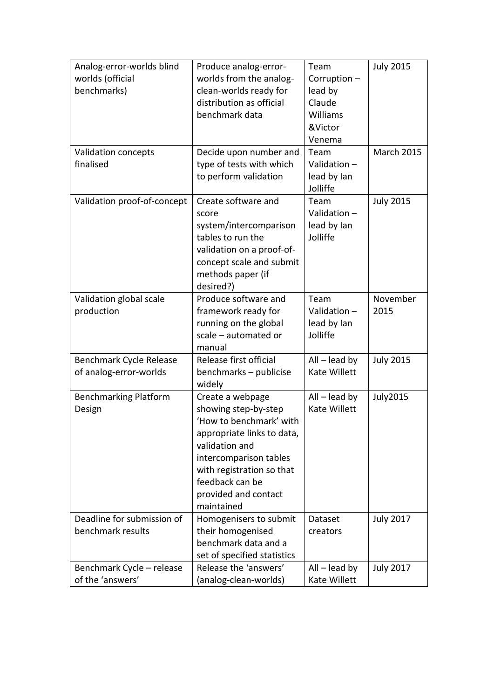| Analog-error-worlds blind    | Produce analog-error-       | Team            | <b>July 2015</b>  |
|------------------------------|-----------------------------|-----------------|-------------------|
| worlds (official             | worlds from the analog-     | Corruption-     |                   |
| benchmarks)                  | clean-worlds ready for      | lead by         |                   |
|                              | distribution as official    | Claude          |                   |
|                              | benchmark data              | Williams        |                   |
|                              |                             |                 |                   |
|                              |                             | &Victor         |                   |
|                              |                             | Venema          |                   |
| Validation concepts          | Decide upon number and      | Team            | <b>March 2015</b> |
| finalised                    | type of tests with which    | Validation $-$  |                   |
|                              | to perform validation       | lead by lan     |                   |
|                              |                             | Jolliffe        |                   |
| Validation proof-of-concept  | Create software and         | Team            | <b>July 2015</b>  |
|                              | score                       | Validation-     |                   |
|                              | system/intercomparison      | lead by lan     |                   |
|                              | tables to run the           | Jolliffe        |                   |
|                              | validation on a proof-of-   |                 |                   |
|                              | concept scale and submit    |                 |                   |
|                              | methods paper (if           |                 |                   |
|                              | desired?)                   |                 |                   |
| Validation global scale      | Produce software and        | Team            | November          |
| production                   | framework ready for         | Validation-     | 2015              |
|                              | running on the global       | lead by lan     |                   |
|                              | scale - automated or        | Jolliffe        |                   |
|                              | manual                      |                 |                   |
| Benchmark Cycle Release      | Release first official      | $All$ – lead by | <b>July 2015</b>  |
| of analog-error-worlds       | benchmarks - publicise      | Kate Willett    |                   |
|                              | widely                      |                 |                   |
| <b>Benchmarking Platform</b> | Create a webpage            | $All$ – lead by | <b>July2015</b>   |
| Design                       | showing step-by-step        | Kate Willett    |                   |
|                              | 'How to benchmark' with     |                 |                   |
|                              | appropriate links to data,  |                 |                   |
|                              | validation and              |                 |                   |
|                              | intercomparison tables      |                 |                   |
|                              | with registration so that   |                 |                   |
|                              | feedback can be             |                 |                   |
|                              | provided and contact        |                 |                   |
|                              | maintained                  |                 |                   |
| Deadline for submission of   | Homogenisers to submit      | Dataset         | <b>July 2017</b>  |
| benchmark results            | their homogenised           | creators        |                   |
|                              | benchmark data and a        |                 |                   |
|                              | set of specified statistics |                 |                   |
| Benchmark Cycle - release    | Release the 'answers'       | $All$ – lead by | <b>July 2017</b>  |
| of the 'answers'             | (analog-clean-worlds)       | Kate Willett    |                   |